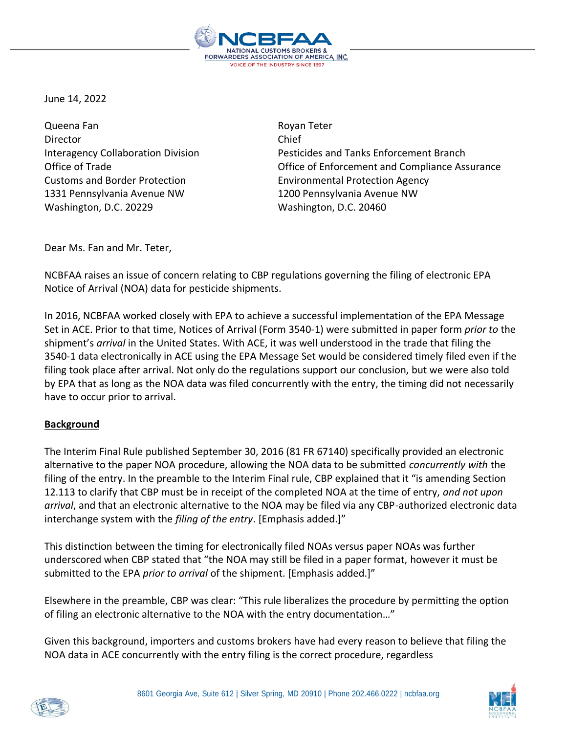

June 14, 2022

Queena Fan **Royan Teter** Royan Teter Director Chief Customs and Border Protection Environmental Protection Agency 1331 Pennsylvania Avenue NW 1200 Pennsylvania Avenue NW Washington, D.C. 20229 Washington, D.C. 20460

Interagency Collaboration Division Pesticides and Tanks Enforcement Branch Office of Trade Office of Enforcement and Compliance Assurance

Dear Ms. Fan and Mr. Teter,

NCBFAA raises an issue of concern relating to CBP regulations governing the filing of electronic EPA Notice of Arrival (NOA) data for pesticide shipments.

In 2016, NCBFAA worked closely with EPA to achieve a successful implementation of the EPA Message Set in ACE. Prior to that time, Notices of Arrival (Form 3540-1) were submitted in paper form *prior to* the shipment's *arrival* in the United States. With ACE, it was well understood in the trade that filing the 3540-1 data electronically in ACE using the EPA Message Set would be considered timely filed even if the filing took place after arrival. Not only do the regulations support our conclusion, but we were also told by EPA that as long as the NOA data was filed concurrently with the entry, the timing did not necessarily have to occur prior to arrival.

## **Background**

The Interim Final Rule published September 30, 2016 (81 FR 67140) specifically provided an electronic alternative to the paper NOA procedure, allowing the NOA data to be submitted *concurrently with* the filing of the entry. In the preamble to the Interim Final rule, CBP explained that it "is amending Section 12.113 to clarify that CBP must be in receipt of the completed NOA at the time of entry, *and not upon arrival*, and that an electronic alternative to the NOA may be filed via any CBP-authorized electronic data interchange system with the *filing of the entry*. [Emphasis added.]"

This distinction between the timing for electronically filed NOAs versus paper NOAs was further underscored when CBP stated that "the NOA may still be filed in a paper format, however it must be submitted to the EPA *prior to arrival* of the shipment. [Emphasis added.]"

Elsewhere in the preamble, CBP was clear: "This rule liberalizes the procedure by permitting the option of filing an electronic alternative to the NOA with the entry documentation…"

Given this background, importers and customs brokers have had every reason to believe that filing the NOA data in ACE concurrently with the entry filing is the correct procedure, regardless



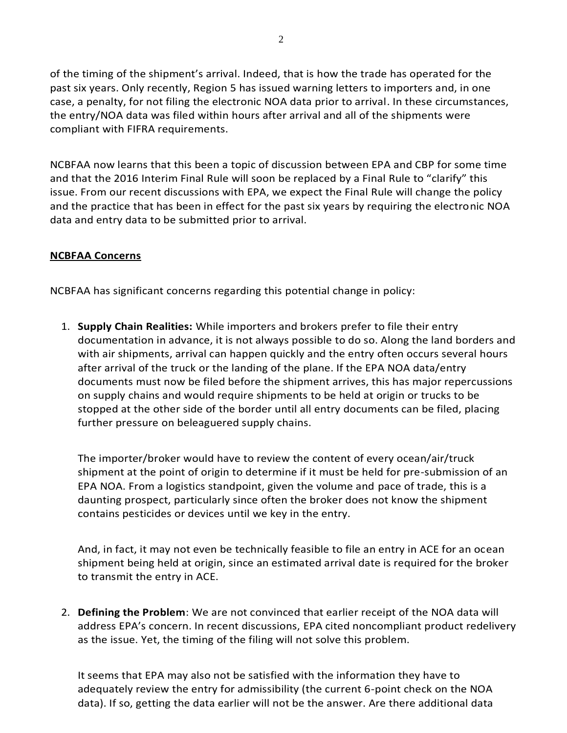of the timing of the shipment's arrival. Indeed, that is how the trade has operated for the past six years. Only recently, Region 5 has issued warning letters to importers and, in one case, a penalty, for not filing the electronic NOA data prior to arrival. In these circumstances, the entry/NOA data was filed within hours after arrival and all of the shipments were compliant with FIFRA requirements.

NCBFAA now learns that this been a topic of discussion between EPA and CBP for some time and that the 2016 Interim Final Rule will soon be replaced by a Final Rule to "clarify" this issue. From our recent discussions with EPA, we expect the Final Rule will change the policy and the practice that has been in effect for the past six years by requiring the electronic NOA data and entry data to be submitted prior to arrival.

## **NCBFAA Concerns**

NCBFAA has significant concerns regarding this potential change in policy:

1. **Supply Chain Realities:** While importers and brokers prefer to file their entry documentation in advance, it is not always possible to do so. Along the land borders and with air shipments, arrival can happen quickly and the entry often occurs several hours after arrival of the truck or the landing of the plane. If the EPA NOA data/entry documents must now be filed before the shipment arrives, this has major repercussions on supply chains and would require shipments to be held at origin or trucks to be stopped at the other side of the border until all entry documents can be filed, placing further pressure on beleaguered supply chains.

The importer/broker would have to review the content of every ocean/air/truck shipment at the point of origin to determine if it must be held for pre-submission of an EPA NOA. From a logistics standpoint, given the volume and pace of trade, this is a daunting prospect, particularly since often the broker does not know the shipment contains pesticides or devices until we key in the entry.

And, in fact, it may not even be technically feasible to file an entry in ACE for an ocean shipment being held at origin, since an estimated arrival date is required for the broker to transmit the entry in ACE.

2. **Defining the Problem**: We are not convinced that earlier receipt of the NOA data will address EPA's concern. In recent discussions, EPA cited noncompliant product redelivery as the issue. Yet, the timing of the filing will not solve this problem.

It seems that EPA may also not be satisfied with the information they have to adequately review the entry for admissibility (the current 6-point check on the NOA data). If so, getting the data earlier will not be the answer. Are there additional data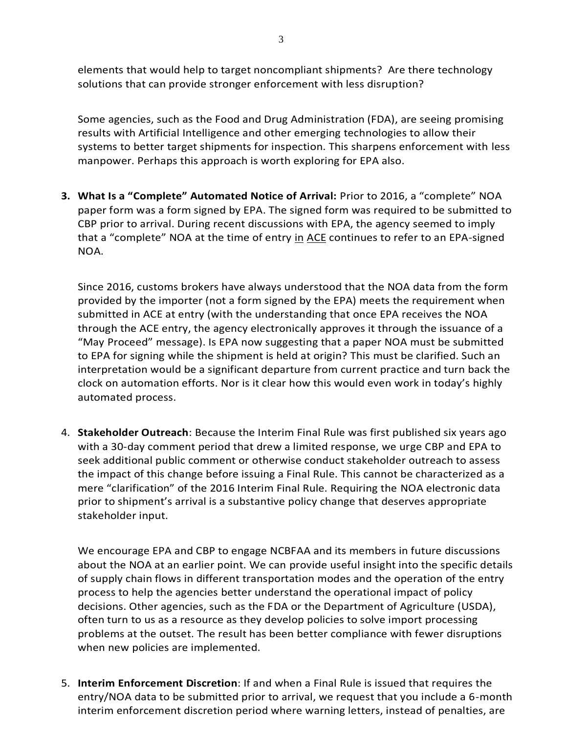elements that would help to target noncompliant shipments? Are there technology solutions that can provide stronger enforcement with less disruption?

Some agencies, such as the Food and Drug Administration (FDA), are seeing promising results with Artificial Intelligence and other emerging technologies to allow their systems to better target shipments for inspection. This sharpens enforcement with less manpower. Perhaps this approach is worth exploring for EPA also.

**3. What Is a "Complete" Automated Notice of Arrival:** Prior to 2016, a "complete" NOA paper form was a form signed by EPA. The signed form was required to be submitted to CBP prior to arrival. During recent discussions with EPA, the agency seemed to imply that a "complete" NOA at the time of entry in ACE continues to refer to an EPA-signed NOA.

Since 2016, customs brokers have always understood that the NOA data from the form provided by the importer (not a form signed by the EPA) meets the requirement when submitted in ACE at entry (with the understanding that once EPA receives the NOA through the ACE entry, the agency electronically approves it through the issuance of a "May Proceed" message). Is EPA now suggesting that a paper NOA must be submitted to EPA for signing while the shipment is held at origin? This must be clarified. Such an interpretation would be a significant departure from current practice and turn back the clock on automation efforts. Nor is it clear how this would even work in today's highly automated process.

4. **Stakeholder Outreach**: Because the Interim Final Rule was first published six years ago with a 30-day comment period that drew a limited response, we urge CBP and EPA to seek additional public comment or otherwise conduct stakeholder outreach to assess the impact of this change before issuing a Final Rule. This cannot be characterized as a mere "clarification" of the 2016 Interim Final Rule. Requiring the NOA electronic data prior to shipment's arrival is a substantive policy change that deserves appropriate stakeholder input.

We encourage EPA and CBP to engage NCBFAA and its members in future discussions about the NOA at an earlier point. We can provide useful insight into the specific details of supply chain flows in different transportation modes and the operation of the entry process to help the agencies better understand the operational impact of policy decisions. Other agencies, such as the FDA or the Department of Agriculture (USDA), often turn to us as a resource as they develop policies to solve import processing problems at the outset. The result has been better compliance with fewer disruptions when new policies are implemented.

5. **Interim Enforcement Discretion**: If and when a Final Rule is issued that requires the entry/NOA data to be submitted prior to arrival, we request that you include a 6-month interim enforcement discretion period where warning letters, instead of penalties, are